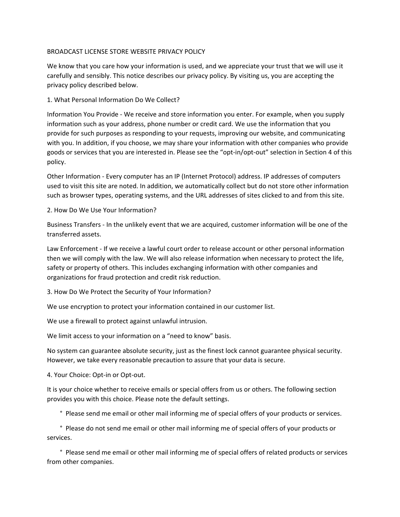## BROADCAST LICENSE STORE WEBSITE PRIVACY POLICY

We know that you care how your information is used, and we appreciate your trust that we will use it carefully and sensibly. This notice describes our privacy policy. By visiting us, you are accepting the privacy policy described below.

### 1. What Personal Information Do We Collect?

Information You Provide - We receive and store information you enter. For example, when you supply information such as your address, phone number or credit card. We use the information that you provide for such purposes as responding to your requests, improving our website, and communicating with you. In addition, if you choose, we may share your information with other companies who provide goods or services that you are interested in. Please see the "opt-in/opt-out" selection in Section 4 of this policy.

Other Information - Every computer has an IP (Internet Protocol) address. IP addresses of computers used to visit this site are noted. In addition, we automatically collect but do not store other information such as browser types, operating systems, and the URL addresses of sites clicked to and from this site.

## 2. How Do We Use Your Information?

Business Transfers - In the unlikely event that we are acquired, customer information will be one of the transferred assets.

Law Enforcement - If we receive a lawful court order to release account or other personal information then we will comply with the law. We will also release information when necessary to protect the life, safety or property of others. This includes exchanging information with other companies and organizations for fraud protection and credit risk reduction.

3. How Do We Protect the Security of Your Information?

We use encryption to protect your information contained in our customer list.

We use a firewall to protect against unlawful intrusion.

We limit access to your information on a "need to know" basis.

No system can guarantee absolute security, just as the finest lock cannot guarantee physical security. However, we take every reasonable precaution to assure that your data is secure.

4. Your Choice: Opt-in or Opt-out.

It is your choice whether to receive emails or special offers from us or others. The following section provides you with this choice. Please note the default settings.

° Please send me email or other mail informing me of special offers of your products or services.

 ° Please do not send me email or other mail informing me of special offers of your products or services.

 ° Please send me email or other mail informing me of special offers of related products or services from other companies.